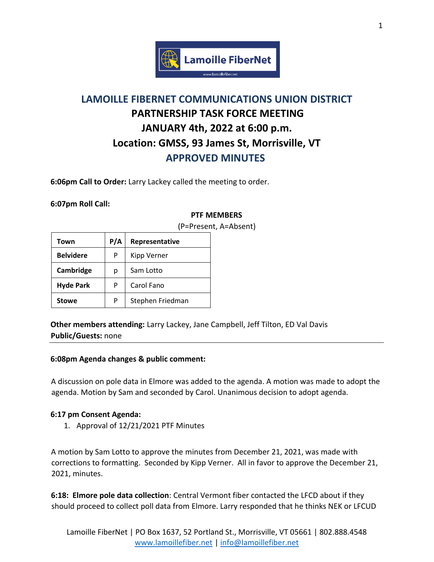

# **LAMOILLE FIBERNET COMMUNICATIONS UNION DISTRICT PARTNERSHIP TASK FORCE MEETING JANUARY 4th, 2022 at 6:00 p.m. Location: GMSS, 93 James St, Morrisville, VT APPROVED MINUTES**

**6:06pm Call to Order:** Larry Lackey called the meeting to order.

**6:07pm Roll Call:** 

## **PTF MEMBERS**

| Town             | P/A | Representative   |
|------------------|-----|------------------|
| <b>Belvidere</b> | P   | Kipp Verner      |
| Cambridge        | р   | Sam Lotto        |
| <b>Hyde Park</b> | P   | Carol Fano       |
| <b>Stowe</b>     | P   | Stephen Friedman |

(P=Present, A=Absent)

**Other members attending:** Larry Lackey, Jane Campbell, Jeff Tilton, ED Val Davis **Public/Guests:** none

## **6:08pm Agenda changes & public comment:**

A discussion on pole data in Elmore was added to the agenda. A motion was made to adopt the agenda. Motion by Sam and seconded by Carol. Unanimous decision to adopt agenda.

## **6:17 pm Consent Agenda:**

1. Approval of 12/21/2021 PTF Minutes

A motion by Sam Lotto to approve the minutes from December 21, 2021, was made with corrections to formatting. Seconded by Kipp Verner. All in favor to approve the December 21, 2021, minutes.

**6:18: Elmore pole data collection**: Central Vermont fiber contacted the LFCD about if they should proceed to collect poll data from Elmore. Larry responded that he thinks NEK or LFCUD